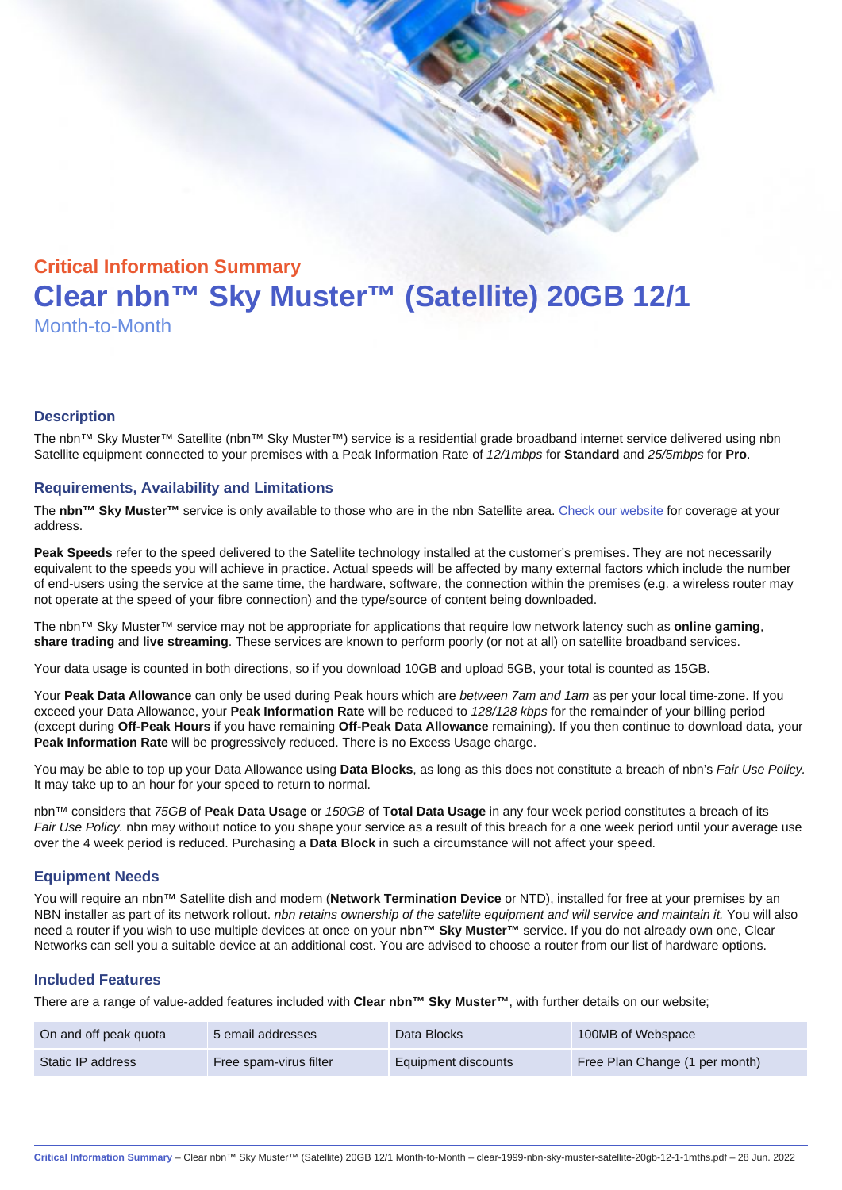# Critical Information Summary Clear nbn™ Sky Muster™ (Satellite) 20GB 12/1 Month-to-Month

#### **Description**

The nbn™ Sky Muster™ Satellite (nbn™ Sky Muster™) service is a residential grade broadband internet service delivered using nbn Satellite equipment connected to your premises with a Peak Information Rate of 12/1mbps for Standard and 25/5mbps for Pro.

#### Requirements, Availability and Limitations

The nbn™ Sky Muster™ service is only available to those who are in the nbn Satellite area. [Check our website](https://www.clear.com.au/corporate-government/nbn-sky-muster/availability-coverage/) for coverage at your address.

Peak Speeds refer to the speed delivered to the Satellite technology installed at the customer's premises. They are not necessarily equivalent to the speeds you will achieve in practice. Actual speeds will be affected by many external factors which include the number of end-users using the service at the same time, the hardware, software, the connection within the premises (e.g. a wireless router may not operate at the speed of your fibre connection) and the type/source of content being downloaded.

The nbn™ Sky Muster™ service may not be appropriate for applications that require low network latency such as online gaming , share trading and live streaming . These services are known to perform poorly (or not at all) on satellite broadband services.

Your data usage is counted in both directions, so if you download 10GB and upload 5GB, your total is counted as 15GB.

Your Peak Data Allowance can only be used during Peak hours which are between 7am and 1am as per your local time-zone. If you exceed your Data Allowance, your Peak Information Rate will be reduced to 128/128 kbps for the remainder of your billing period (except during Off-Peak Hours if you have remaining Off-Peak Data Allowance remaining). If you then continue to download data, your Peak Information Rate will be progressively reduced. There is no Excess Usage charge.

You may be able to top up your Data Allowance using Data Blocks , as long as this does not constitute a breach of nbn's Fair Use Policy. It may take up to an hour for your speed to return to normal.

nbn™ considers that 75GB of Peak Data Usage or 150GB of Total Data Usage in any four week period constitutes a breach of its Fair Use Policy. nbn may without notice to you shape your service as a result of this breach for a one week period until your average use over the 4 week period is reduced. Purchasing a Data Block in such a circumstance will not affect your speed.

#### Equipment Needs

You will require an nbn™ Satellite dish and modem (Network Termination Device or NTD), installed for free at your premises by an NBN installer as part of its network rollout. nbn retains ownership of the satellite equipment and will service and maintain it. You will also need a router if you wish to use multiple devices at once on your nbn™ Sky Muster™ service. If you do not already own one, Clear Networks can sell you a suitable device at an additional cost. You are advised to choose a router from our list of hardware options.

#### Included Features

There are a range of value-added features included with Clear nbn™ Sky Muster™ , with further details on our website;

| On and off peak quota | 5 email addresses      | Data Blocks         | 100MB of Webspace              |
|-----------------------|------------------------|---------------------|--------------------------------|
| Static IP address     | Free spam-virus filter | Equipment discounts | Free Plan Change (1 per month) |